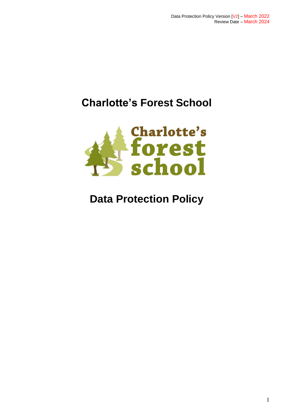# **Charlotte's Forest School**



# **Data Protection Policy**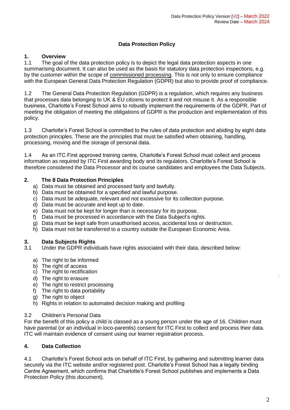## **Data Protection Policy**

# **1. Overview**

The goal of the data protection policy is to depict the legal data protection aspects in one summarising document. It can also be used as the basis for statutory data protection inspections, e.g. by the customer within the scope of [commissioned processing.](https://www.activemind.de/en/data-protection/commissioned-data-processing-customer/) This is not only to ensure compliance with the European General Data Protection Regulation (GDPR) but also to provide proof of compliance.

1.2 The General Data Protection Regulation (GDPR) is a regulation, which requires any business that processes data belonging to UK & EU citizens to protect it and not misuse it. As a responsible business, Charlotte's Forest School aims to robustly implement the requirements of the GDPR. Part of meeting the obligation of meeting the obligations of GDPR is the production and implementation of this policy.

1.3 Charlotte's Forest School is committed to the rules of data protection and abiding by eight data protection principles. These are the principles that must be satisfied when obtaining, handling, processing, moving and the storage of personal data.

1.4 As an ITC First approved training centre, Charlotte's Forest School must collect and process information as required by ITC First awarding body and its regulators. Charlotte's Forest School is therefore considered the Data Processor and its course candidates and employees the Data Subjects.

#### **2. The 8 Data Protection Principles**

- a) Data must be obtained and processed fairly and lawfully.
- b) Data must be obtained for a specified and lawful purpose.
- c) Data must be adequate, relevant and not excessive for its collection purpose.
- d) Data must be accurate and kept up to date.
- e) Data must not be kept for longer than is necessary for its purpose.
- f) Data must be processed in accordance with the Data Subject's rights.
- g) Data must be kept safe from unauthorised access, accidental loss or destruction.
- h) Data must not be transferred to a country outside the European Economic Area.

#### **3. Data Subjects Rights**

3.1 Under the GDPR individuals have rights associated with their data, described below:

- a) The right to be informed
- b) The right of access
- c) The right to rectification
- d) The right to erasure
- e) The right to restrict processing
- f) The right to data portability
- g) The right to object
- h) Rights in relation to automated decision making and profiling

#### 3.2 Children's Personal Data

For the benefit of this policy a child is classed as a young person under the age of 16. Children must have parental (or an individual in loco-parentis) consent for ITC First to collect and process their data. ITC will maintain evidence of consent using our learner registration process.

### **4. Data Collection**

4.1 Charlotte's Forest School acts on behalf of ITC First, by gathering and submitting learner data securely via the ITC website and/or registered post. Charlotte's Forest School has a legally binding Centre Agreement, which confirms that Charlotte's Forest School publishes and implements a Data Protection Policy (this document).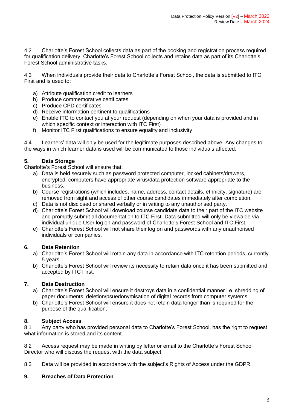4.2 Charlotte's Forest School collects data as part of the booking and registration process required for qualification delivery. Charlotte's Forest School collects and retains data as part of its Charlotte's Forest School administrative tasks.

4.3 When individuals provide their data to Charlotte's Forest School, the data is submitted to ITC First and is used to:

- a) Attribute qualification credit to learners
- b) Produce commemorative certificates
- c) Produce CPD certificates
- d) Receive information pertinent to qualifications
- e) Enable ITC to contact you at your request (depending on when your data is provided and in which specific context or interaction with ITC First)
- f) Monitor ITC First qualifications to ensure equality and inclusivity

4.4 Learners' data will only be used for the legitimate purposes described above. Any changes to the ways in which learner data is used will be communicated to those individuals affected.

## **5. Data Storage**

Charlotte's Forest School will ensure that:

- a) Data is held securely such as password protected computer, locked cabinets/drawers, encrypted, computers have appropriate virus/data protection software appropriate to the business.
- b) Course registrations (which includes, name, address, contact details, ethnicity, signature) are removed from sight and access of other course candidates immediately after completion.
- c) Data is not disclosed or shared verbally or in writing to any unauthorised party.
- d) Charlotte's Forest School will download course candidate data to their part of the ITC website and promptly submit all documentation to ITC First. Data submitted will only be viewable via individual unique User log on and password of Charlotte's Forest School and ITC First.
- e) Charlotte's Forest School will not share their log on and passwords with any unauthorised individuals or companies.

### **6. Data Retention**

- a) Charlotte's Forest School will retain any data in accordance with ITC retention periods, currently 5 years.
- b) Charlotte's Forest School will review its necessity to retain data once it has been submitted and accepted by ITC First.

### **7. Data Destruction**

- a) Charlotte's Forest School will ensure it destroys data in a confidential manner i.e. shredding of paper documents, deletion/psuedonymisation of digital records from computer systems.
- b) Charlotte's Forest School will ensure it does not retain data longer than is required for the purpose of the qualification.

### **8. Subject Access**

8.1 Any party who has provided personal data to Charlotte's Forest School, has the right to request what information is stored and its content.

8.2 Access request may be made in writing by letter or email to the Charlotte's Forest School Director who will discuss the request with the data subject.

8.3 Data will be provided in accordance with the subject's Rights of Access under the GDPR.

### **9. Breaches of Data Protection**